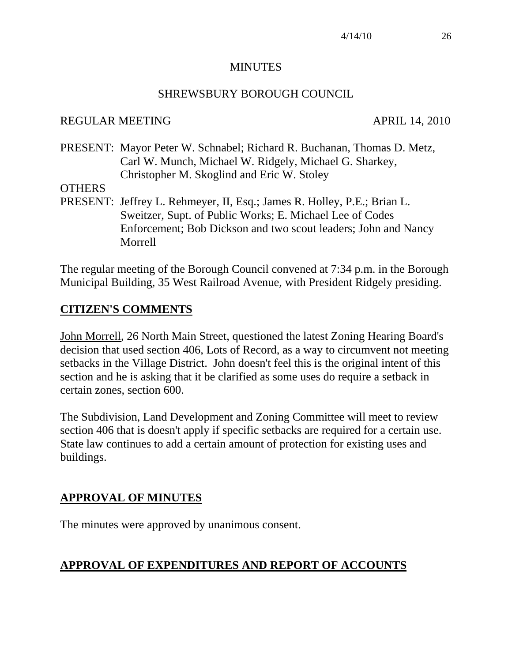#### MINUTES

#### SHREWSBURY BOROUGH COUNCIL

#### REGULAR MEETING APRIL 14, 2010

PRESENT: Mayor Peter W. Schnabel; Richard R. Buchanan, Thomas D. Metz, Carl W. Munch, Michael W. Ridgely, Michael G. Sharkey, Christopher M. Skoglind and Eric W. Stoley

#### **OTHERS**

PRESENT: Jeffrey L. Rehmeyer, II, Esq.; James R. Holley, P.E.; Brian L. Sweitzer, Supt. of Public Works; E. Michael Lee of Codes Enforcement; Bob Dickson and two scout leaders; John and Nancy Morrell

The regular meeting of the Borough Council convened at 7:34 p.m. in the Borough Municipal Building, 35 West Railroad Avenue, with President Ridgely presiding.

## **CITIZEN'S COMMENTS**

John Morrell, 26 North Main Street, questioned the latest Zoning Hearing Board's decision that used section 406, Lots of Record, as a way to circumvent not meeting setbacks in the Village District. John doesn't feel this is the original intent of this section and he is asking that it be clarified as some uses do require a setback in certain zones, section 600.

The Subdivision, Land Development and Zoning Committee will meet to review section 406 that is doesn't apply if specific setbacks are required for a certain use. State law continues to add a certain amount of protection for existing uses and buildings.

## **APPROVAL OF MINUTES**

The minutes were approved by unanimous consent.

## **APPROVAL OF EXPENDITURES AND REPORT OF ACCOUNTS**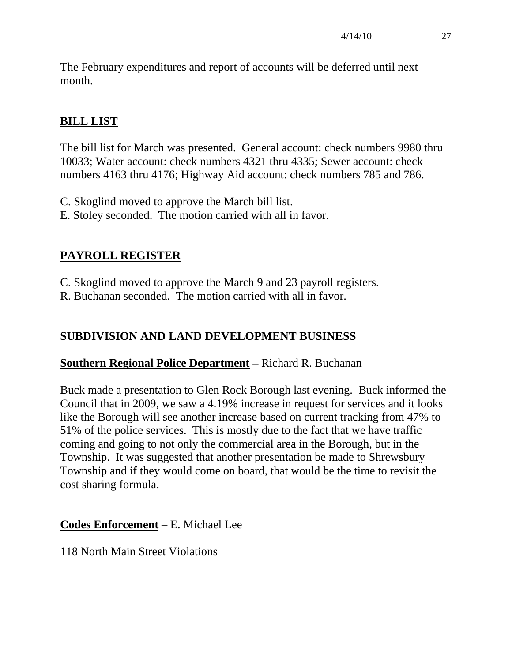The February expenditures and report of accounts will be deferred until next month.

# **BILL LIST**

The bill list for March was presented. General account: check numbers 9980 thru 10033; Water account: check numbers 4321 thru 4335; Sewer account: check numbers 4163 thru 4176; Highway Aid account: check numbers 785 and 786.

- C. Skoglind moved to approve the March bill list.
- E. Stoley seconded. The motion carried with all in favor.

# **PAYROLL REGISTER**

C. Skoglind moved to approve the March 9 and 23 payroll registers.

R. Buchanan seconded. The motion carried with all in favor.

# **SUBDIVISION AND LAND DEVELOPMENT BUSINESS**

## **Southern Regional Police Department** – Richard R. Buchanan

Buck made a presentation to Glen Rock Borough last evening. Buck informed the Council that in 2009, we saw a 4.19% increase in request for services and it looks like the Borough will see another increase based on current tracking from 47% to 51% of the police services. This is mostly due to the fact that we have traffic coming and going to not only the commercial area in the Borough, but in the Township. It was suggested that another presentation be made to Shrewsbury Township and if they would come on board, that would be the time to revisit the cost sharing formula.

# **Codes Enforcement** – E. Michael Lee

## 118 North Main Street Violations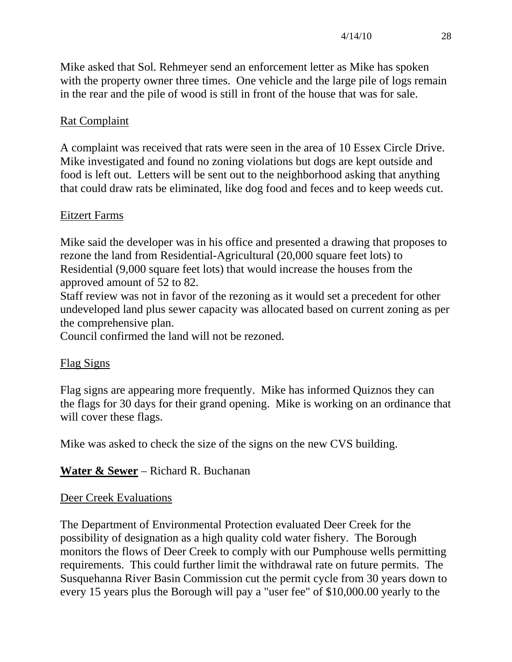Mike asked that Sol. Rehmeyer send an enforcement letter as Mike has spoken with the property owner three times. One vehicle and the large pile of logs remain in the rear and the pile of wood is still in front of the house that was for sale.

# Rat Complaint

A complaint was received that rats were seen in the area of 10 Essex Circle Drive. Mike investigated and found no zoning violations but dogs are kept outside and food is left out. Letters will be sent out to the neighborhood asking that anything that could draw rats be eliminated, like dog food and feces and to keep weeds cut.

## Eitzert Farms

Mike said the developer was in his office and presented a drawing that proposes to rezone the land from Residential-Agricultural (20,000 square feet lots) to Residential (9,000 square feet lots) that would increase the houses from the approved amount of 52 to 82.

Staff review was not in favor of the rezoning as it would set a precedent for other undeveloped land plus sewer capacity was allocated based on current zoning as per the comprehensive plan.

Council confirmed the land will not be rezoned.

# Flag Signs

Flag signs are appearing more frequently. Mike has informed Quiznos they can the flags for 30 days for their grand opening. Mike is working on an ordinance that will cover these flags.

Mike was asked to check the size of the signs on the new CVS building.

# **Water & Sewer** – Richard R. Buchanan

## Deer Creek Evaluations

The Department of Environmental Protection evaluated Deer Creek for the possibility of designation as a high quality cold water fishery. The Borough monitors the flows of Deer Creek to comply with our Pumphouse wells permitting requirements. This could further limit the withdrawal rate on future permits. The Susquehanna River Basin Commission cut the permit cycle from 30 years down to every 15 years plus the Borough will pay a "user fee" of \$10,000.00 yearly to the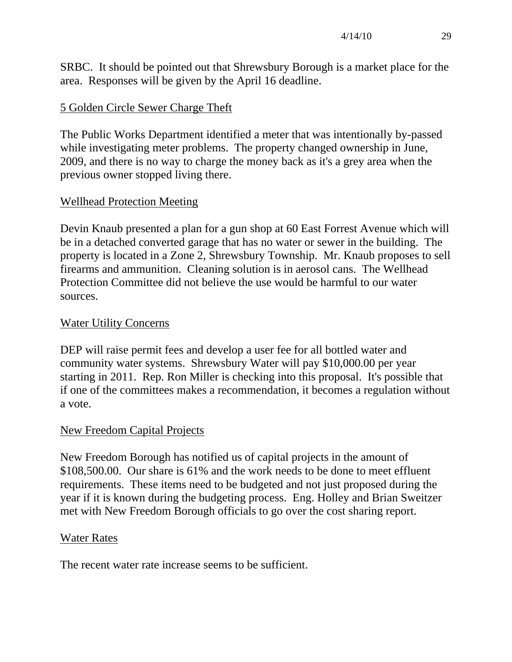SRBC. It should be pointed out that Shrewsbury Borough is a market place for the area. Responses will be given by the April 16 deadline.

## 5 Golden Circle Sewer Charge Theft

The Public Works Department identified a meter that was intentionally by-passed while investigating meter problems. The property changed ownership in June, 2009, and there is no way to charge the money back as it's a grey area when the previous owner stopped living there.

## Wellhead Protection Meeting

Devin Knaub presented a plan for a gun shop at 60 East Forrest Avenue which will be in a detached converted garage that has no water or sewer in the building. The property is located in a Zone 2, Shrewsbury Township. Mr. Knaub proposes to sell firearms and ammunition. Cleaning solution is in aerosol cans. The Wellhead Protection Committee did not believe the use would be harmful to our water sources.

## Water Utility Concerns

DEP will raise permit fees and develop a user fee for all bottled water and community water systems. Shrewsbury Water will pay \$10,000.00 per year starting in 2011. Rep. Ron Miller is checking into this proposal. It's possible that if one of the committees makes a recommendation, it becomes a regulation without a vote.

## New Freedom Capital Projects

New Freedom Borough has notified us of capital projects in the amount of \$108,500.00. Our share is 61% and the work needs to be done to meet effluent requirements. These items need to be budgeted and not just proposed during the year if it is known during the budgeting process. Eng. Holley and Brian Sweitzer met with New Freedom Borough officials to go over the cost sharing report.

## Water Rates

The recent water rate increase seems to be sufficient.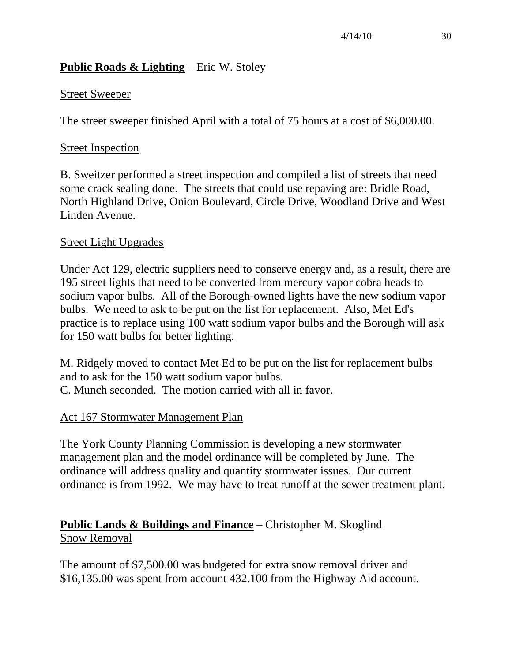# **Public Roads & Lighting** – Eric W. Stoley

#### Street Sweeper

The street sweeper finished April with a total of 75 hours at a cost of \$6,000.00.

#### Street Inspection

B. Sweitzer performed a street inspection and compiled a list of streets that need some crack sealing done. The streets that could use repaving are: Bridle Road, North Highland Drive, Onion Boulevard, Circle Drive, Woodland Drive and West Linden Avenue.

#### Street Light Upgrades

Under Act 129, electric suppliers need to conserve energy and, as a result, there are 195 street lights that need to be converted from mercury vapor cobra heads to sodium vapor bulbs. All of the Borough-owned lights have the new sodium vapor bulbs. We need to ask to be put on the list for replacement. Also, Met Ed's practice is to replace using 100 watt sodium vapor bulbs and the Borough will ask for 150 watt bulbs for better lighting.

M. Ridgely moved to contact Met Ed to be put on the list for replacement bulbs and to ask for the 150 watt sodium vapor bulbs. C. Munch seconded. The motion carried with all in favor.

## Act 167 Stormwater Management Plan

The York County Planning Commission is developing a new stormwater management plan and the model ordinance will be completed by June. The ordinance will address quality and quantity stormwater issues. Our current ordinance is from 1992. We may have to treat runoff at the sewer treatment plant.

# **Public Lands & Buildings and Finance** – Christopher M. Skoglind Snow Removal

The amount of \$7,500.00 was budgeted for extra snow removal driver and \$16,135.00 was spent from account 432.100 from the Highway Aid account.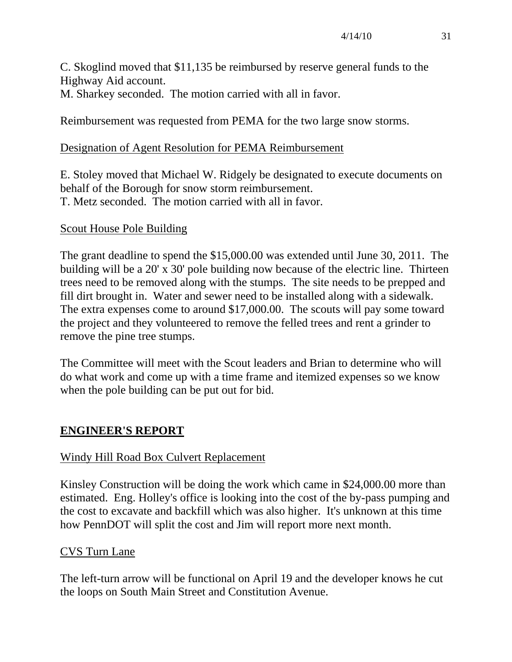C. Skoglind moved that \$11,135 be reimbursed by reserve general funds to the Highway Aid account. M. Sharkey seconded. The motion carried with all in favor.

Reimbursement was requested from PEMA for the two large snow storms.

## Designation of Agent Resolution for PEMA Reimbursement

E. Stoley moved that Michael W. Ridgely be designated to execute documents on behalf of the Borough for snow storm reimbursement. T. Metz seconded. The motion carried with all in favor.

## Scout House Pole Building

The grant deadline to spend the \$15,000.00 was extended until June 30, 2011. The building will be a 20' x 30' pole building now because of the electric line. Thirteen trees need to be removed along with the stumps. The site needs to be prepped and fill dirt brought in. Water and sewer need to be installed along with a sidewalk. The extra expenses come to around \$17,000.00. The scouts will pay some toward the project and they volunteered to remove the felled trees and rent a grinder to remove the pine tree stumps.

The Committee will meet with the Scout leaders and Brian to determine who will do what work and come up with a time frame and itemized expenses so we know when the pole building can be put out for bid.

# **ENGINEER'S REPORT**

## Windy Hill Road Box Culvert Replacement

Kinsley Construction will be doing the work which came in \$24,000.00 more than estimated. Eng. Holley's office is looking into the cost of the by-pass pumping and the cost to excavate and backfill which was also higher. It's unknown at this time how PennDOT will split the cost and Jim will report more next month.

## CVS Turn Lane

The left-turn arrow will be functional on April 19 and the developer knows he cut the loops on South Main Street and Constitution Avenue.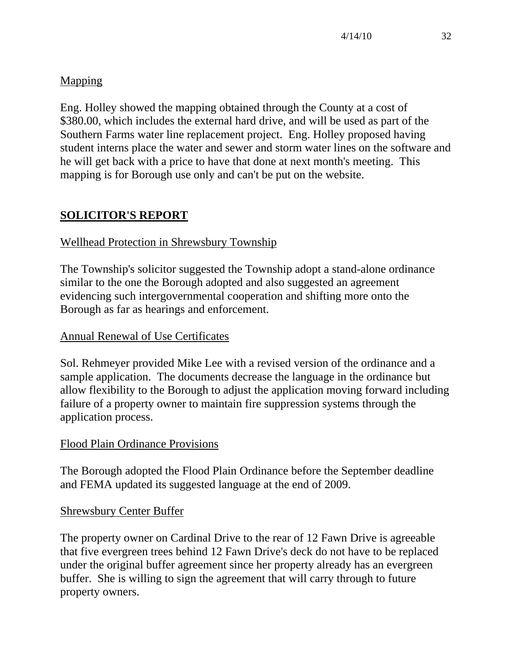# Mapping

Eng. Holley showed the mapping obtained through the County at a cost of \$380.00, which includes the external hard drive, and will be used as part of the Southern Farms water line replacement project. Eng. Holley proposed having student interns place the water and sewer and storm water lines on the software and he will get back with a price to have that done at next month's meeting. This mapping is for Borough use only and can't be put on the website.

# **SOLICITOR'S REPORT**

# Wellhead Protection in Shrewsbury Township

The Township's solicitor suggested the Township adopt a stand-alone ordinance similar to the one the Borough adopted and also suggested an agreement evidencing such intergovernmental cooperation and shifting more onto the Borough as far as hearings and enforcement.

# Annual Renewal of Use Certificates

Sol. Rehmeyer provided Mike Lee with a revised version of the ordinance and a sample application. The documents decrease the language in the ordinance but allow flexibility to the Borough to adjust the application moving forward including failure of a property owner to maintain fire suppression systems through the application process.

# Flood Plain Ordinance Provisions

The Borough adopted the Flood Plain Ordinance before the September deadline and FEMA updated its suggested language at the end of 2009.

# Shrewsbury Center Buffer

The property owner on Cardinal Drive to the rear of 12 Fawn Drive is agreeable that five evergreen trees behind 12 Fawn Drive's deck do not have to be replaced under the original buffer agreement since her property already has an evergreen buffer. She is willing to sign the agreement that will carry through to future property owners.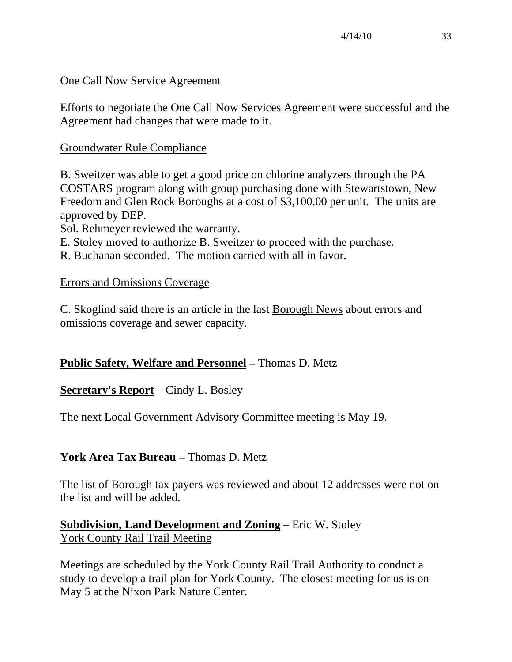## One Call Now Service Agreement

Efforts to negotiate the One Call Now Services Agreement were successful and the Agreement had changes that were made to it.

## Groundwater Rule Compliance

B. Sweitzer was able to get a good price on chlorine analyzers through the PA COSTARS program along with group purchasing done with Stewartstown, New Freedom and Glen Rock Boroughs at a cost of \$3,100.00 per unit. The units are approved by DEP.

Sol. Rehmeyer reviewed the warranty.

E. Stoley moved to authorize B. Sweitzer to proceed with the purchase.

R. Buchanan seconded. The motion carried with all in favor.

## Errors and Omissions Coverage

C. Skoglind said there is an article in the last Borough News about errors and omissions coverage and sewer capacity.

# **Public Safety, Welfare and Personnel** – Thomas D. Metz

# **Secretary's Report** – Cindy L. Bosley

The next Local Government Advisory Committee meeting is May 19.

# **York Area Tax Bureau** – Thomas D. Metz

The list of Borough tax payers was reviewed and about 12 addresses were not on the list and will be added.

## **Subdivision, Land Development and Zoning** – Eric W. Stoley York County Rail Trail Meeting

Meetings are scheduled by the York County Rail Trail Authority to conduct a study to develop a trail plan for York County. The closest meeting for us is on May 5 at the Nixon Park Nature Center.